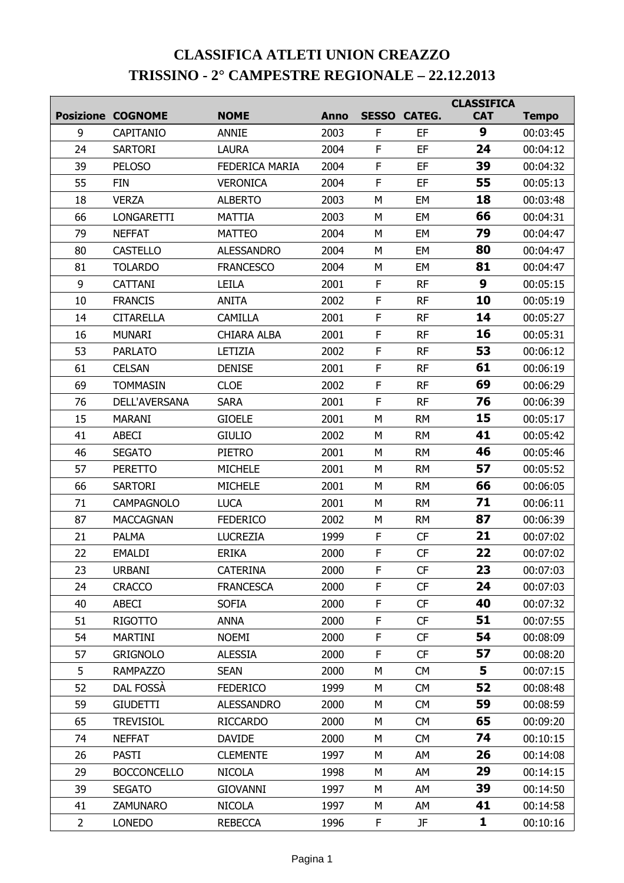## **CLASSIFICA ATLETI UNION CREAZZO TRISSINO - 2° CAMPESTRE REGIONALE – 22.12.2013**

|                |                          |                    |             |              |                     | <b>CLASSIFICA</b> |              |
|----------------|--------------------------|--------------------|-------------|--------------|---------------------|-------------------|--------------|
|                | <b>Posizione COGNOME</b> | <b>NOME</b>        | <b>Anno</b> |              | <b>SESSO CATEG.</b> | <b>CAT</b>        | <b>Tempo</b> |
| 9              | CAPITANIO                | <b>ANNIE</b>       | 2003        | F            | EF                  | 9                 | 00:03:45     |
| 24             | <b>SARTORI</b>           | <b>LAURA</b>       | 2004        | $\mathsf F$  | EF                  | 24                | 00:04:12     |
| 39             | <b>PELOSO</b>            | FEDERICA MARIA     | 2004        | $\mathsf F$  | EF                  | 39                | 00:04:32     |
| 55             | <b>FIN</b>               | <b>VERONICA</b>    | 2004        | F            | EF                  | 55                | 00:05:13     |
| 18             | <b>VERZA</b>             | <b>ALBERTO</b>     | 2003        | M            | EM                  | 18                | 00:03:48     |
| 66             | <b>LONGARETTI</b>        | <b>MATTIA</b>      | 2003        | M            | EM                  | 66                | 00:04:31     |
| 79             | <b>NEFFAT</b>            | <b>MATTEO</b>      | 2004        | M            | EM                  | 79                | 00:04:47     |
| 80             | <b>CASTELLO</b>          | <b>ALESSANDRO</b>  | 2004        | M            | <b>EM</b>           | 80                | 00:04:47     |
| 81             | <b>TOLARDO</b>           | <b>FRANCESCO</b>   | 2004        | M            | <b>EM</b>           | 81                | 00:04:47     |
| 9              | <b>CATTANI</b>           | <b>LEILA</b>       | 2001        | F            | <b>RF</b>           | 9                 | 00:05:15     |
| 10             | <b>FRANCIS</b>           | <b>ANITA</b>       | 2002        | $\mathsf F$  | <b>RF</b>           | 10                | 00:05:19     |
| 14             | <b>CITARELLA</b>         | CAMILLA            | 2001        | F            | <b>RF</b>           | 14                | 00:05:27     |
| 16             | <b>MUNARI</b>            | <b>CHIARA ALBA</b> | 2001        | $\mathsf F$  | <b>RF</b>           | 16                | 00:05:31     |
| 53             | <b>PARLATO</b>           | LETIZIA            | 2002        | F            | <b>RF</b>           | 53                | 00:06:12     |
| 61             | <b>CELSAN</b>            | <b>DENISE</b>      | 2001        | $\mathsf{F}$ | <b>RF</b>           | 61                | 00:06:19     |
| 69             | <b>TOMMASIN</b>          | <b>CLOE</b>        | 2002        | F            | <b>RF</b>           | 69                | 00:06:29     |
| 76             | <b>DELL'AVERSANA</b>     | <b>SARA</b>        | 2001        | $\mathsf F$  | <b>RF</b>           | 76                | 00:06:39     |
| 15             | <b>MARANI</b>            | <b>GIOELE</b>      | 2001        | M            | <b>RM</b>           | 15                | 00:05:17     |
| 41             | <b>ABECI</b>             | <b>GIULIO</b>      | 2002        | M            | <b>RM</b>           | 41                | 00:05:42     |
| 46             | <b>SEGATO</b>            | <b>PIETRO</b>      | 2001        | M            | <b>RM</b>           | 46                | 00:05:46     |
| 57             | <b>PERETTO</b>           | <b>MICHELE</b>     | 2001        | M            | <b>RM</b>           | 57                | 00:05:52     |
| 66             | <b>SARTORI</b>           | <b>MICHELE</b>     | 2001        | M            | <b>RM</b>           | 66                | 00:06:05     |
| 71             | <b>CAMPAGNOLO</b>        | <b>LUCA</b>        | 2001        | M            | <b>RM</b>           | 71                | 00:06:11     |
| 87             | <b>MACCAGNAN</b>         | <b>FEDERICO</b>    | 2002        | M            | <b>RM</b>           | 87                | 00:06:39     |
| 21             | <b>PALMA</b>             | <b>LUCREZIA</b>    | 1999        | F            | <b>CF</b>           | 21                | 00:07:02     |
| 22             | <b>EMALDI</b>            | <b>ERIKA</b>       | 2000        | F            | CF                  | 22                | 00:07:02     |
| 23             | URBANI                   | <b>CATERINA</b>    | 2000        | F            | <b>CF</b>           | 23                | 00:07:03     |
| 24             | <b>CRACCO</b>            | <b>FRANCESCA</b>   | 2000        | F            | CF                  | 24                | 00:07:03     |
| 40             | ABECI                    | <b>SOFIA</b>       | 2000        | F            | CF                  | 40                | 00:07:32     |
| 51             | <b>RIGOTTO</b>           | <b>ANNA</b>        | 2000        | F            | CF                  | 51                | 00:07:55     |
| 54             | <b>MARTINI</b>           | <b>NOEMI</b>       | 2000        | F            | CF                  | 54                | 00:08:09     |
| 57             | <b>GRIGNOLO</b>          | <b>ALESSIA</b>     | 2000        | F            | CF                  | 57                | 00:08:20     |
| 5              | <b>RAMPAZZO</b>          | <b>SEAN</b>        | 2000        | М            | <b>CM</b>           | 5                 | 00:07:15     |
| 52             | DAL FOSSA                | <b>FEDERICO</b>    | 1999        | M            | <b>CM</b>           | 52                | 00:08:48     |
| 59             | <b>GIUDETTI</b>          | <b>ALESSANDRO</b>  | 2000        | М            | <b>CM</b>           | 59                | 00:08:59     |
| 65             | <b>TREVISIOL</b>         | <b>RICCARDO</b>    | 2000        | М            | <b>CM</b>           | 65                | 00:09:20     |
| 74             | <b>NEFFAT</b>            | <b>DAVIDE</b>      | 2000        | М            | <b>CM</b>           | 74                | 00:10:15     |
| 26             | <b>PASTI</b>             | <b>CLEMENTE</b>    | 1997        | М            | AM                  | 26                | 00:14:08     |
| 29             | <b>BOCCONCELLO</b>       | <b>NICOLA</b>      | 1998        | М            | AM                  | 29                | 00:14:15     |
| 39             | <b>SEGATO</b>            | <b>GIOVANNI</b>    | 1997        | М            | AM                  | 39                | 00:14:50     |
| 41             | <b>ZAMUNARO</b>          | <b>NICOLA</b>      | 1997        | М            | AM                  | 41                | 00:14:58     |
| $\overline{2}$ | <b>LONEDO</b>            | <b>REBECCA</b>     | 1996        | F.           | JF                  | 1                 | 00:10:16     |